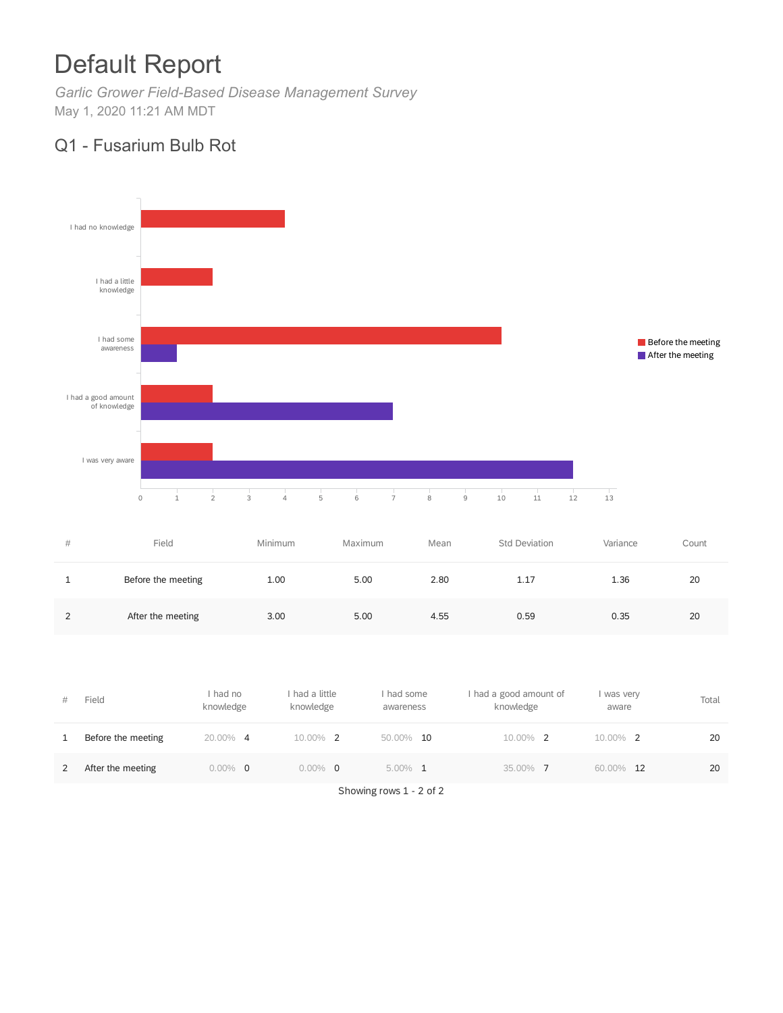# Default Report

*Garlic Grower Field-Based Disease Management Survey* May 1, 2020 11:21 AM MDT

## Q1 - Fusarium Bulb Rot



| #             | Field              | Minimum | Maximum | Mean | Std Deviation | Variance | Count |
|---------------|--------------------|---------|---------|------|---------------|----------|-------|
|               | Before the meeting | 1.00    | 5.00    | 2.80 | 1.17          | 1.36     | 20    |
| $\mathcal{D}$ | After the meeting  | 3.00    | 5.00    | 4.55 | 0.59          | 0.35     | 20    |

| # | Field              | I had no<br>knowledge | I had a little<br>knowledge | had some<br>awareness | I had a good amount of<br>knowledge | I was very<br>aware | Total |
|---|--------------------|-----------------------|-----------------------------|-----------------------|-------------------------------------|---------------------|-------|
|   | Before the meeting | 20.00% 4              | 10.00%<br>$\overline{2}$    | 50.00%<br>10          | 10.00% 2                            | 10.00% 2            | 20    |
|   | After the meeting  | $0.00\%$ 0            | $0.00\%$<br>$\Omega$        | $5.00\%$ 1            | 35.00% 7                            | 60.00% 12           | 20    |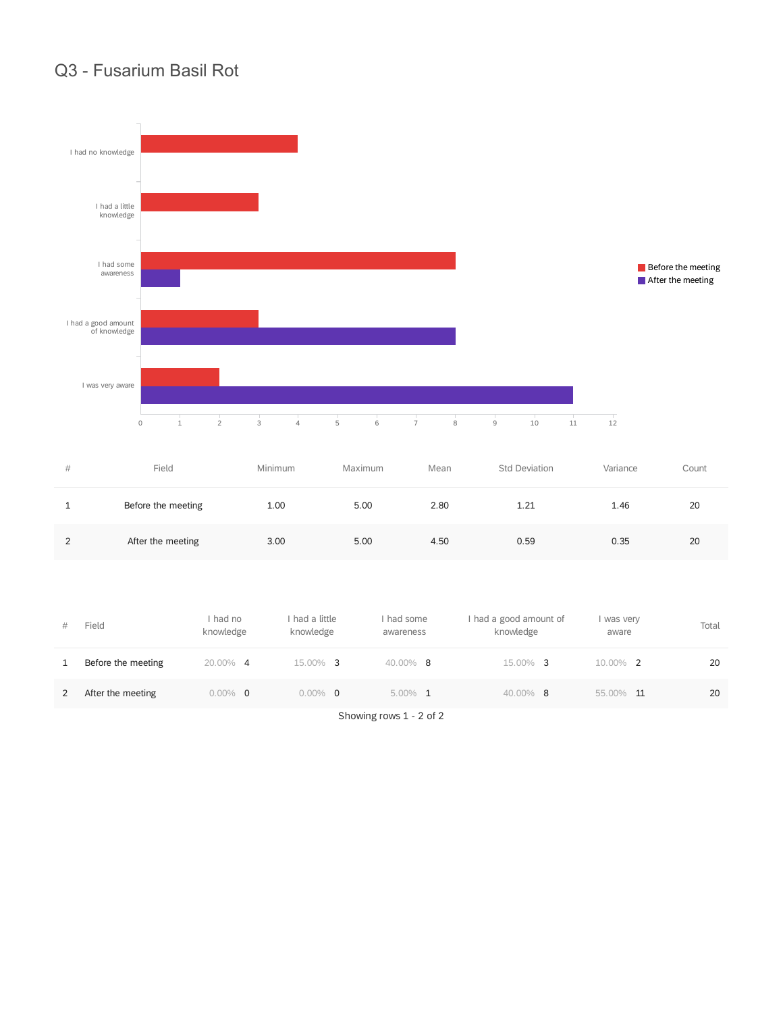## Q3 - Fusarium Basil Rot



| #             | Field              | Minimum | Maximum | Mean | <b>Std Deviation</b> | Variance | Count |
|---------------|--------------------|---------|---------|------|----------------------|----------|-------|
|               | Before the meeting | 1.00    | 5.00    | 2.80 | 1.21                 | 1.46     | 20    |
| $\mathcal{D}$ | After the meeting  | 3.00    | 5.00    | 4.50 | 0.59                 | 0.35     | 20    |

| #            | Field              | had no<br>knowledge | I had a little<br>knowledge | had some<br>awareness | I had a good amount of<br>knowledge | I was very<br>aware | Total |
|--------------|--------------------|---------------------|-----------------------------|-----------------------|-------------------------------------|---------------------|-------|
| $\mathbf{1}$ | Before the meeting | 20.00% 4            | 15.00% 3                    | $40.00\%$ 8           | $15.00\%$ 3                         | 10.00% 2            | 20    |
| 2            | After the meeting  | $0.00\%$ 0          | $0.00\%$ 0                  | $5.00\%$ 1            | 40.00% 8                            | 55.00%<br>- 11      | 20    |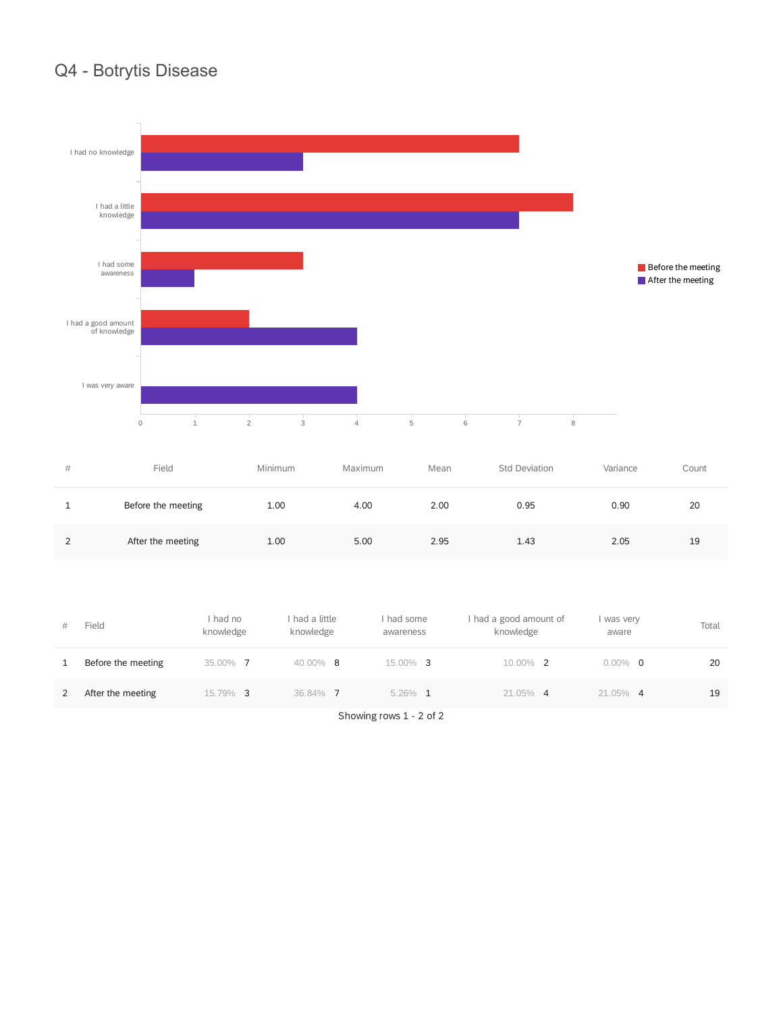## Q4 - Botrytis Disease



| #             | Field              | Minimum | Maximum | Mean | <b>Std Deviation</b> | Variance | Count |
|---------------|--------------------|---------|---------|------|----------------------|----------|-------|
|               | Before the meeting | 1.00    | 4.00    | 2.00 | 0.95                 | 0.90     | 20    |
| $\mathcal{P}$ | After the meeting  | 1.00    | 5.00    | 2.95 | 1.43                 | 2.05     | 19    |

| #            | Field              | had no<br>knowledge | I had a little<br>knowledge | had some<br>awareness | I had a good amount of<br>knowledge | I was very<br>aware | Total |
|--------------|--------------------|---------------------|-----------------------------|-----------------------|-------------------------------------|---------------------|-------|
| $\mathbf{1}$ | Before the meeting | 35.00% 7            | $40.00\%$ 8                 | $15.00\%$ 3           | 10.00% 2                            | $0.00\%$ 0          | 20    |
| 2            | After the meeting  | 15.79% 3            | 36.84% 7                    | $5.26\%$ 1            | $21.05\%$ 4                         | 21.05% 4            | 19    |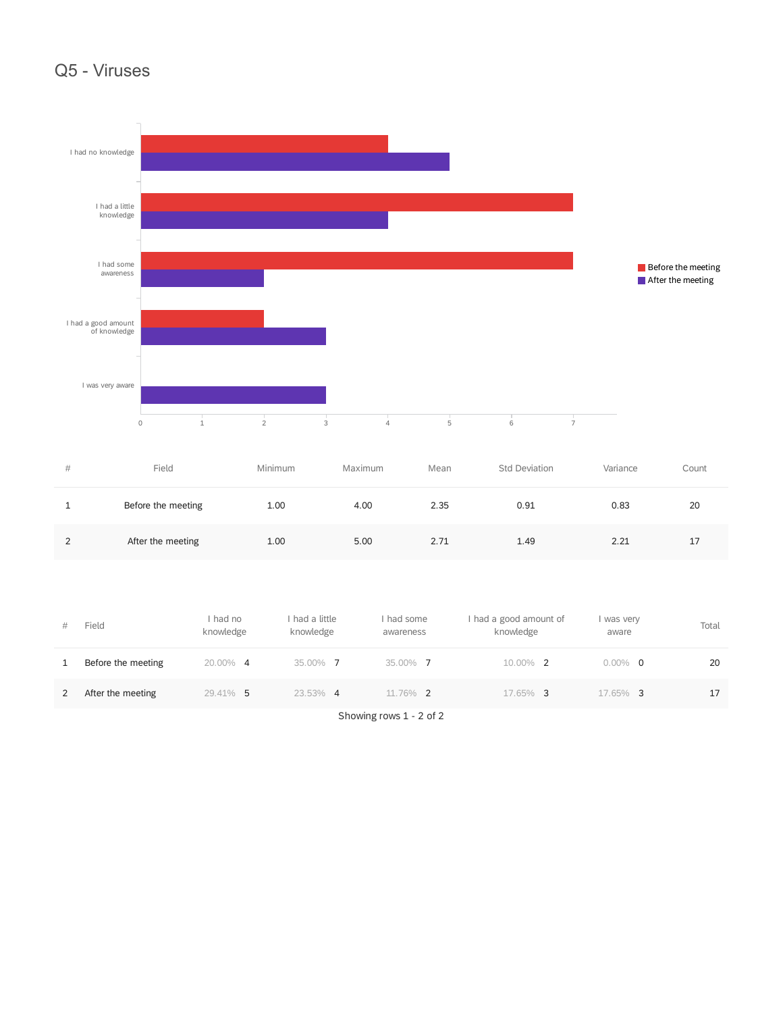#### Q5 - Viruses



| # | Field              | Minimum | Maximum | Mean | Std Deviation | Variance | Count |
|---|--------------------|---------|---------|------|---------------|----------|-------|
|   | Before the meeting | 1.00    | 4.00    | 2.35 | 0.91          | 0.83     | 20    |
| C | After the meeting  | 1.00    | 5.00    | 2.71 | 1.49          | 2.21     | 17    |

| #            | Field              | had no<br>knowledge | I had a little<br>knowledge | had some<br>awareness | had a good amount of<br>knowledge | I was very<br>aware | Total |
|--------------|--------------------|---------------------|-----------------------------|-----------------------|-----------------------------------|---------------------|-------|
| $\mathbf{1}$ | Before the meeting | 20.00% 4            | 35.00% 7                    | 35.00% 7              | 10.00% 2                          | $0.00\%$ 0          | 20    |
| 2            | After the meeting  | 29.41% 5            | 23.53% 4                    | 11.76% 2              | 17.65% 3                          | 17.65% 3            | 17    |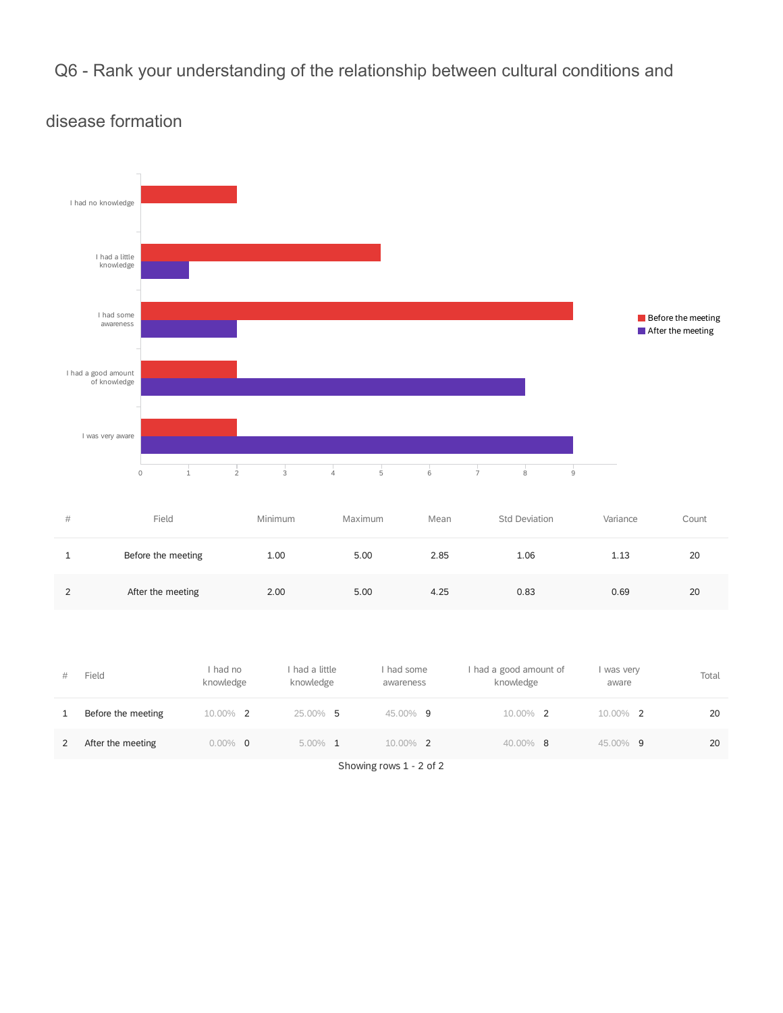Q6 - Rank your understanding of the relationship between cultural conditions and



### disease formation

| # | Field              | Minimum | Maximum | Mean | Std Deviation | Variance | Count |
|---|--------------------|---------|---------|------|---------------|----------|-------|
|   | Before the meeting | 1.00    | 5.00    | 2.85 | 1.06          | 1.13     | 20    |
| ົ | After the meeting  | 2.00    | 5.00    | 4.25 | 0.83          | 0.69     | 20    |

| # | Field              | I had no<br>knowledge | had a little<br>knowledge | I had some<br>awareness | I had a good amount of<br>knowledge | was very<br>aware | Total |
|---|--------------------|-----------------------|---------------------------|-------------------------|-------------------------------------|-------------------|-------|
| 1 | Before the meeting | 10.00% 2              | 25.00% 5                  | 45.00% 9                | 10.00% 2                            | 10.00% 2          | 20    |
| 2 | After the meeting  | $0.00\%$ 0            | $5.00\%$ 1                | $10.00\%$ 2             | $40.00\%$ 8                         | 45.00% 9          | 20    |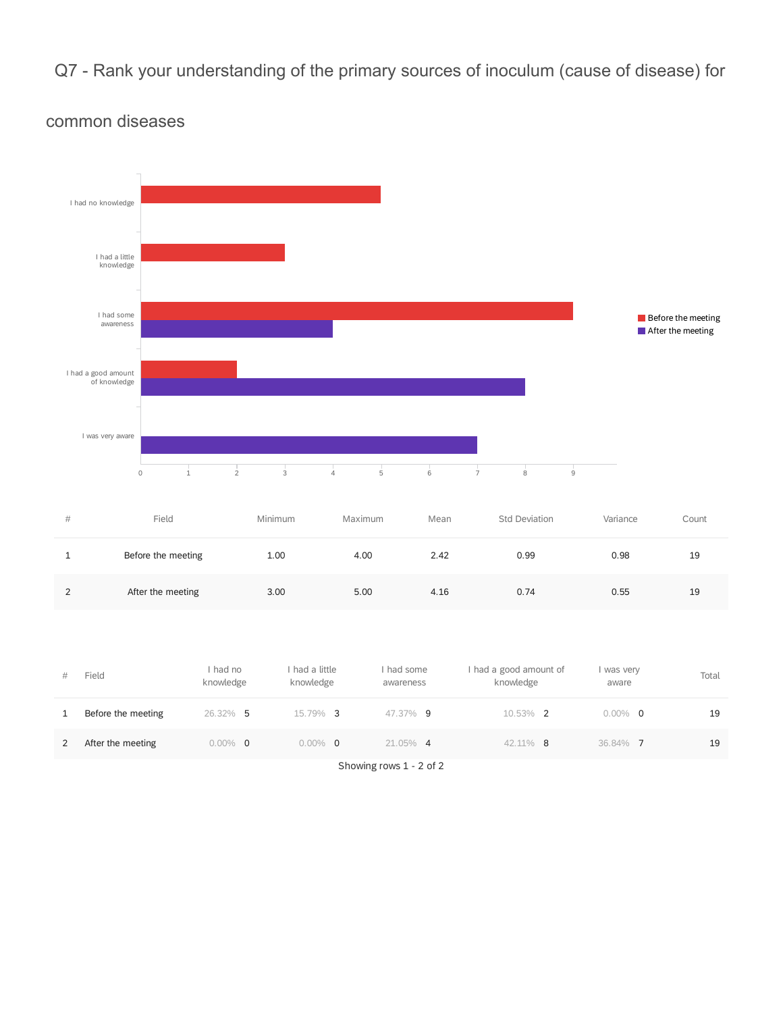Q7 - Rank your understanding of the primary sources of inoculum (cause of disease) for



#### common diseases

| #             | Field              | Minimum | Maximum | Mean | <b>Std Deviation</b> | Variance | Count |
|---------------|--------------------|---------|---------|------|----------------------|----------|-------|
|               | Before the meeting | 1.00    | 4.00    | 2.42 | 0.99                 | 0.98     | 19    |
| $\mathcal{P}$ | After the meeting  | 3.00    | 5.00    | 4.16 | 0.74                 | 0.55     | 19    |

| #            | Field              | I had no<br>knowledge | had a little<br>knowledge | had some<br>awareness | had a good amount of<br>knowledge | was very<br>aware | Total |
|--------------|--------------------|-----------------------|---------------------------|-----------------------|-----------------------------------|-------------------|-------|
| $\mathbf{1}$ | Before the meeting | 26.32% 5              | 15.79% 3                  | 47.37% 9              | $10.53\%$ 2                       | $0.00\%$ 0        | 19    |
| 2            | After the meeting  | $0.00\%$ 0            | $0.00\%$ 0                | $21.05\%$ 4           | 42.11% 8                          | 36.84% 7          | 19    |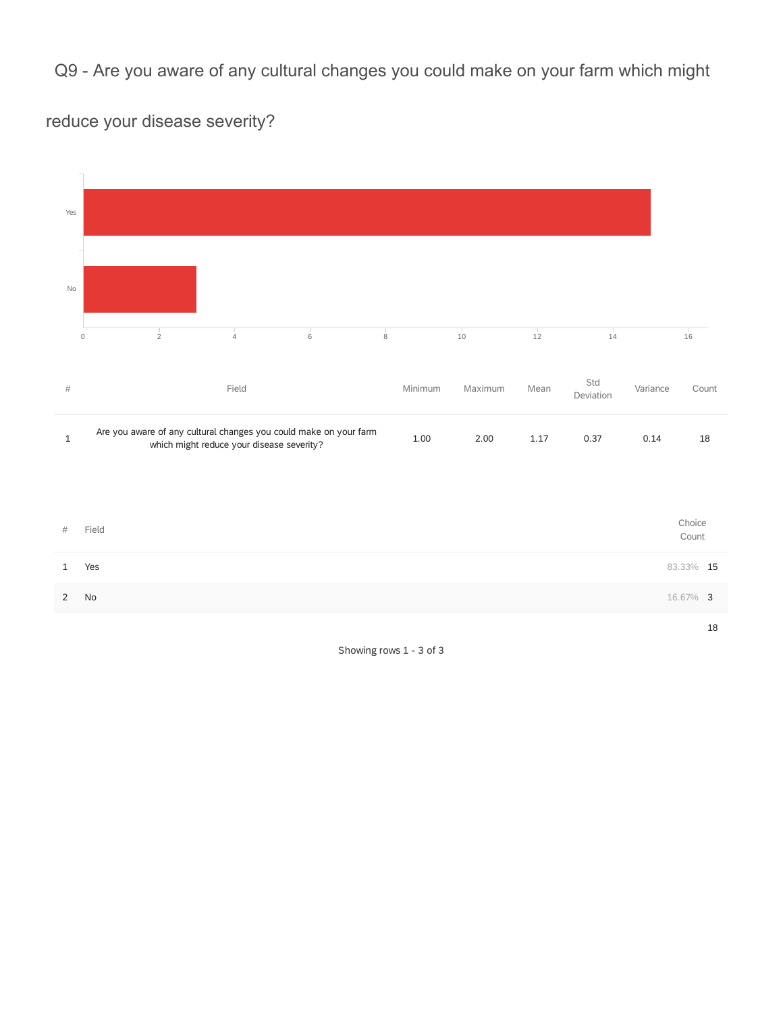Q9 - Are you aware of any cultural changes you could make on your farm which might

reduce your disease severity?

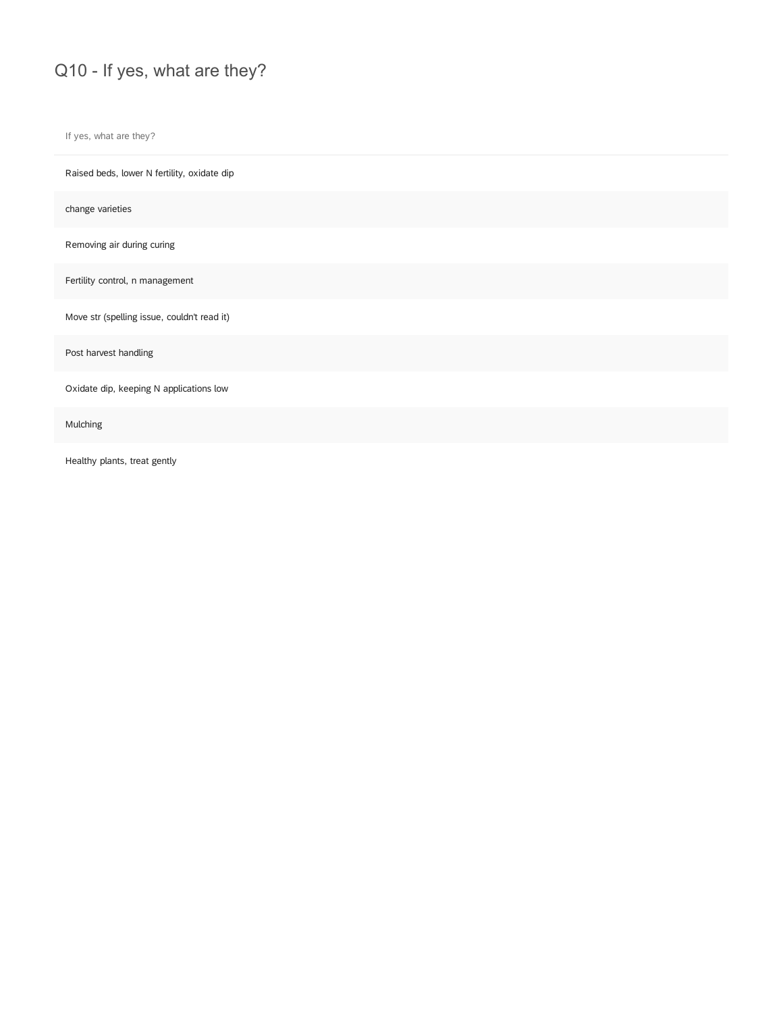## Q10 - If yes, what are they?

If yes, what are they?

Raised beds, lower N fertility, oxidate dip

change varieties

Removing air during curing

Fertility control, n management

Move str (spelling issue, couldn't read it)

Post harvest handling

Oxidate dip, keeping N applications low

Mulching

Healthy plants, treat gently